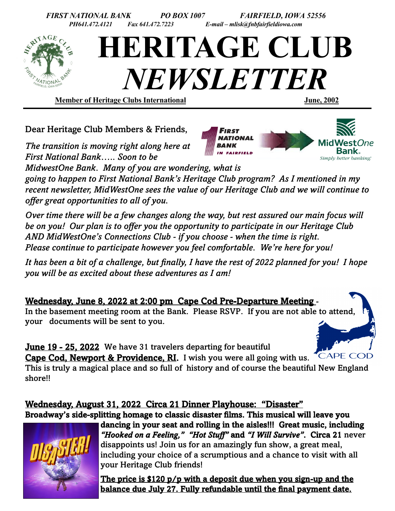

Dear Heritage Club Members & Friends,

*The transition is moving right along here at First National Bank….. Soon to be* 

*MidwestOne Bank. Many of you are wondering, what is* 

*going to happen to First National Bank's Heritage Club program? As I mentioned in my recent newsletter, MidWestOne sees the value of our Heritage Club and we will continue to offer great opportunities to all of you.*

*Over time there will be a few changes along the way, but rest assured our main focus will be on you! Our plan is to offer you the opportunity to participate in our Heritage Club AND MidWestOne's Connections Club - if you choose - when the time is right. Please continue to participate however you feel comfortable. We're here for you!*

*It has been a bit of a challenge, but finally, I have the rest of 2022 planned for you! I hope you will be as excited about these adventures as I am!*

Wednesday, June 8, 2022 at 2:00 pm Cape Cod Pre-Departure Meeting -

In the basement meeting room at the Bank. Please RSVP. If you are not able to attend, your documents will be sent to you.

**June 19 - 25, 2022** We have 31 travelers departing for beautiful

Cape Cod, Newport & Providence, RI. I wish you were all going with us.

This is truly a magical place and so full of history and of course the beautiful New England shore!!

# Wednesday, August 31, 2022 Circa 21 Dinner Playhouse: "Disaster"

Broadway's side-splitting homage to classic disaster films. This musical will leave you



dancing in your seat and rolling in the aisles!!! Great music, including *"Hooked on a Feeling," "Hot Stuff"* and *"I Will Survive"*. Circa 21 never disappoints us! Join us for an amazingly fun show, a great meal, including your choice of a scrumptious and a chance to visit with all your Heritage Club friends!

The price is \$120 p/p with a deposit due when you sign-up and the balance due July 27. Fully refundable until the final payment date.



**CAPE COD**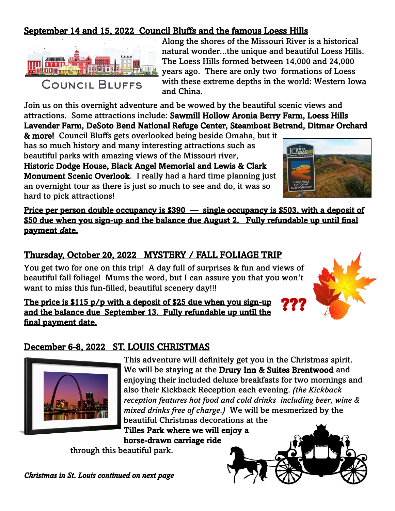### September 14 and 15, 2022 Council Bluffs and the famous Loess Hills



Along the shores of the Missouri River is a historical natural wonder...the unique and beautiful Loess Hills. The Loess Hills formed between 14,000 and 24,000 years ago. There are only two formations of Loess with these extreme depths in the world: Western Iowa and China.

Join us on this overnight adventure and be wowed by the beautiful scenic views and attractions. Some attractions include: Sawmill Hollow Aronia Berry Farm, Loess Hills Lavender Farm, DeSoto Bend National Refuge Center, Steamboat Betrand, Ditmar Orchard

& more! Council Bluffs gets overlooked being beside Omaha, but it has so much history and many interesting attractions such as beautiful parks with amazing views of the Missouri river,

Historic Dodge House, Black Angel Memorial and Lewis & Clark Monument Scenic Overlook. I really had a hard time planning just an overnight tour as there is just so much to see and do, it was so hard to pick attractions!



Price per person double occupancy is \$390 — single occupancy is \$503, with a deposit of \$50 due when you sign-up and the balance due August 2. Fully refundable up until final payment *d*ate.

### Thursday, October 20, 2022 MYSTERY / FALL FOLIAGE TRIP

You get two for one on this trip! A day full of surprises & fun and views of beautiful fall foliage! Mums the word, but I can assure you that you won't want to miss this fun-filled, beautiful scenery day!!!

The price is \$115 p/p with a deposit of \$25 due when you sign-up and the balance due September 13. Fully refundable up until the final payment date. ???

#### December 6-8, 2022 ST. LOUIS CHRISTMAS



This adventure will definitely get you in the Christmas spirit. We will be staying at the Drury Inn & Suites Brentwood and enjoying their included deluxe breakfasts for two mornings and also their Kickback Reception each evening. *(the Kickback reception features hot food and cold drinks including beer, wine & mixed drinks free of charge.)* We will be mesmerized by the beautiful Christmas decorations at the

Tilles Park where we will enjoy a horse-drawn carriage ride

through this beautiful park.

*Christmas in St. Louis continued on next page*